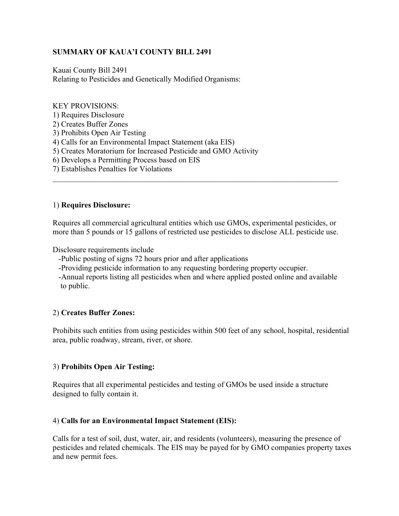# **SUMMARY OF KAUA'I COUNTY BILL 2491**

Kauai County Bill 2491 Relating to Pesticides and Genetically Modified Organisms:

#### KEY PROVISIONS:

- 1) Requires Disclosure
- 2) Creates Buffer Zones
- 3) Prohibits Open Air Testing
- 4) Calls for an Environmental Impact Statement (aka EIS)
- 5) Creates Moratorium for Increased Pesticide and GMO Activity
- 6) Develops a Permitting Process based on EIS
- 7) Establishes Penalties for Violations

### 1) **Requires Disclosure:**

Requires all commercial agricultural entities which use GMOs, experimental pesticides, or more than 5 pounds or 15 gallons of restricted use pesticides to disclose ALL pesticide use.

 $\_$  , and the set of the set of the set of the set of the set of the set of the set of the set of the set of the set of the set of the set of the set of the set of the set of the set of the set of the set of the set of th

Disclosure requirements include

-Public posting of signs 72 hours prior and after applications

-Providing pesticide information to any requesting bordering property occupier.

 -Annual reports listing all pesticides when and where applied posted online and available to public.

#### 2) **Creates Buffer Zones:**

Prohibits such entities from using pesticides within 500 feet of any school, hospital, residential area, public roadway, stream, river, or shore.

## 3) **Prohibits Open Air Testing:**

Requires that all experimental pesticides and testing of GMOs be used inside a structure designed to fully contain it.

## 4) **Calls for an Environmental Impact Statement (EIS):**

Calls for a test of soil, dust, water, air, and residents (volunteers), measuring the presence of pesticides and related chemicals. The EIS may be payed for by GMO companies property taxes and new permit fees.